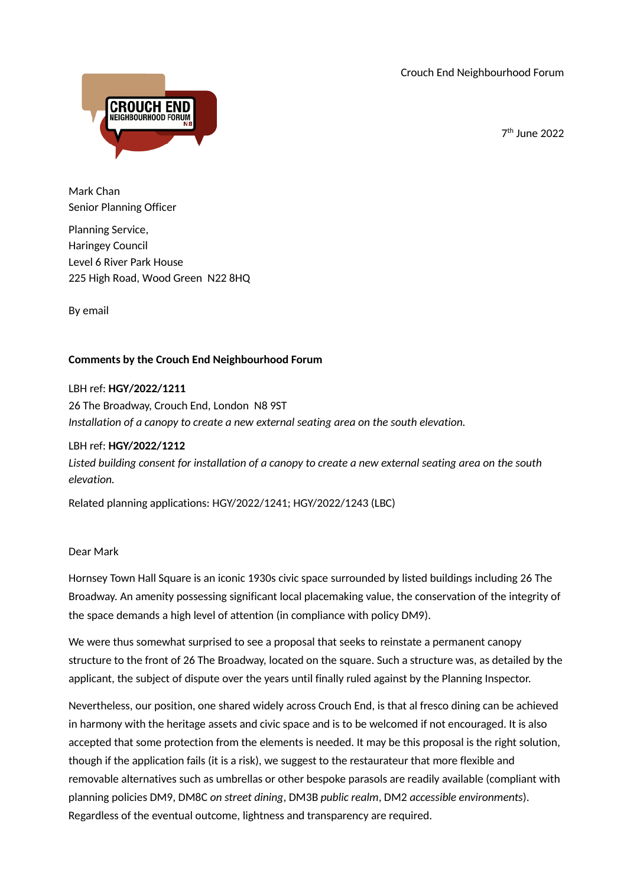Crouch End Neighbourhood Forum

7th June 2022



Mark Chan Senior Planning Officer

Planning Service, Haringey Council Level 6 River Park House 225 High Road, Wood Green N22 8HQ

By email

## **Comments by the Crouch End Neighbourhood Forum**

## LBH ref: **HGY/2022/1211**

26 The Broadway, Crouch End, London N8 9ST *Installation of a canopy to create a new external seating area on the south elevation.*

## LBH ref: **HGY/2022/1212**

*Listed building consent for installation of a canopy to create a new external seating area on the south elevation.*

Related planning applications: HGY/2022/1241; HGY/2022/1243 (LBC)

## Dear Mark

Hornsey Town Hall Square is an iconic 1930s civic space surrounded by listed buildings including 26 The Broadway. An amenity possessing significant local placemaking value, the conservation of the integrity of the space demands a high level of attention (in compliance with policy DM9).

We were thus somewhat surprised to see a proposal that seeks to reinstate a permanent canopy structure to the front of 26 The Broadway, located on the square. Such a structure was, as detailed by the applicant, the subject of dispute over the years until finally ruled against by the Planning Inspector.

Nevertheless, our position, one shared widely across Crouch End, is that al fresco dining can be achieved in harmony with the heritage assets and civic space and is to be welcomed if not encouraged. It is also accepted that some protection from the elements is needed. It may be this proposal is the right solution, though if the application fails (it is a risk), we suggest to the restaurateur that more flexible and removable alternatives such as umbrellas or other bespoke parasols are readily available (compliant with planning policies DM9, DM8C *on street dining*, DM3B *public realm*, DM2 *accessible environments*). Regardless of the eventual outcome, lightness and transparency are required.